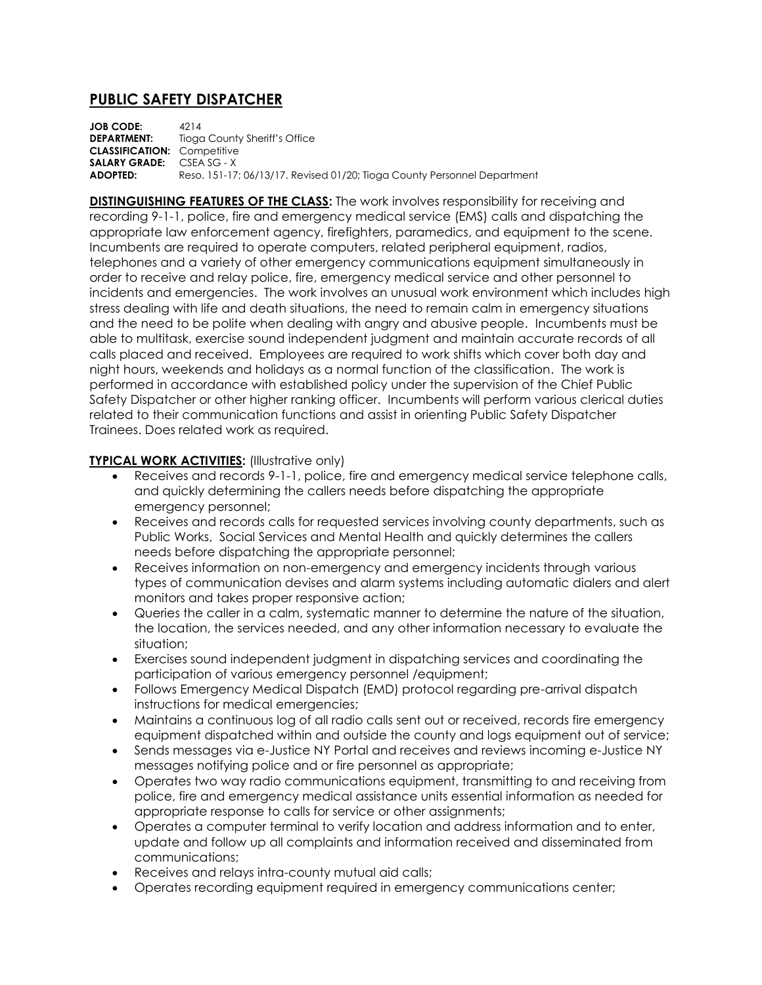## **PUBLIC SAFETY DISPATCHER**

**JOB CODE:** 4214 **DEPARTMENT:** Tioga County Sheriff's Office **CLASSIFICATION:** Competitive **SALARY GRADE:** CSEA SG - X **ADOPTED:** Reso. 151-17; 06/13/17. Revised 01/20; Tioga County Personnel Department

**DISTINGUISHING FEATURES OF THE CLASS:** The work involves responsibility for receiving and recording 9-1-1, police, fire and emergency medical service (EMS) calls and dispatching the appropriate law enforcement agency, firefighters, paramedics, and equipment to the scene. Incumbents are required to operate computers, related peripheral equipment, radios, telephones and a variety of other emergency communications equipment simultaneously in order to receive and relay police, fire, emergency medical service and other personnel to incidents and emergencies. The work involves an unusual work environment which includes high stress dealing with life and death situations, the need to remain calm in emergency situations and the need to be polite when dealing with angry and abusive people. Incumbents must be able to multitask, exercise sound independent judgment and maintain accurate records of all calls placed and received. Employees are required to work shifts which cover both day and night hours, weekends and holidays as a normal function of the classification. The work is performed in accordance with established policy under the supervision of the Chief Public Safety Dispatcher or other higher ranking officer. Incumbents will perform various clerical duties related to their communication functions and assist in orienting Public Safety Dispatcher Trainees. Does related work as required.

## **TYPICAL WORK ACTIVITIES:** (Illustrative only)

- Receives and records 9-1-1, police, fire and emergency medical service telephone calls, and quickly determining the callers needs before dispatching the appropriate emergency personnel;
- Receives and records calls for requested services involving county departments, such as Public Works, Social Services and Mental Health and quickly determines the callers needs before dispatching the appropriate personnel;
- Receives information on non-emergency and emergency incidents through various types of communication devises and alarm systems including automatic dialers and alert monitors and takes proper responsive action;
- Queries the caller in a calm, systematic manner to determine the nature of the situation, the location, the services needed, and any other information necessary to evaluate the situation;
- Exercises sound independent judgment in dispatching services and coordinating the participation of various emergency personnel /equipment;
- Follows Emergency Medical Dispatch (EMD) protocol regarding pre-arrival dispatch instructions for medical emergencies;
- Maintains a continuous log of all radio calls sent out or received, records fire emergency equipment dispatched within and outside the county and logs equipment out of service;
- Sends messages via e-Justice NY Portal and receives and reviews incoming e-Justice NY messages notifying police and or fire personnel as appropriate;
- Operates two way radio communications equipment, transmitting to and receiving from police, fire and emergency medical assistance units essential information as needed for appropriate response to calls for service or other assignments;
- Operates a computer terminal to verify location and address information and to enter, update and follow up all complaints and information received and disseminated from communications;
- Receives and relays intra-county mutual aid calls;
- Operates recording equipment required in emergency communications center;